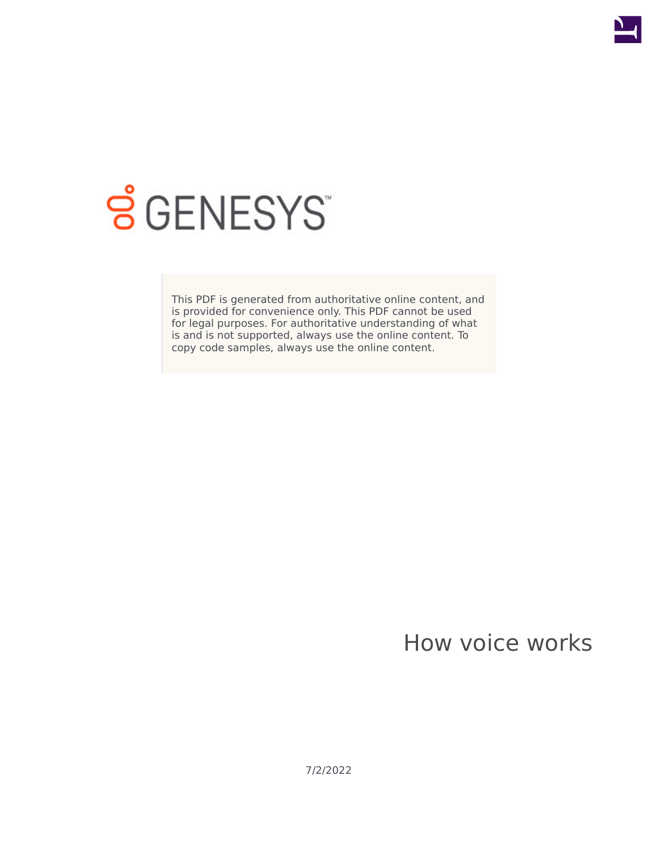

# **SGENESYS**

This PDF is generated from authoritative online content, and is provided for convenience only. This PDF cannot be used for legal purposes. For authoritative understanding of what is and is not supported, always use the online content. To copy code samples, always use the online content.

## How voice works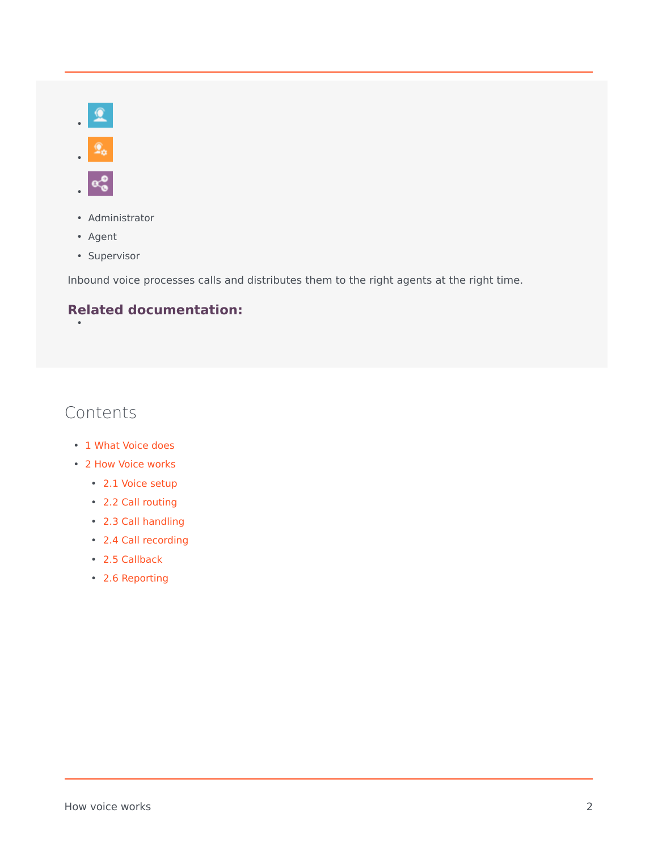



•

•

- Administrator
- Agent
- Supervisor

Inbound voice processes calls and distributes them to the right agents at the right time.

#### **Related documentation:**

### Contents

- 1 [What Voice does](#page-2-0)
- 2 [How Voice works](#page-2-1)
	- 2.1 [Voice setup](#page-2-2)
	- 2.2 [Call routing](#page-4-0)
	- 2.3 [Call handling](#page-5-0)
	- 2.4 [Call recording](#page-5-1)
	- 2.5 [Callback](#page-6-0)
	- 2.6 [Reporting](#page-7-0)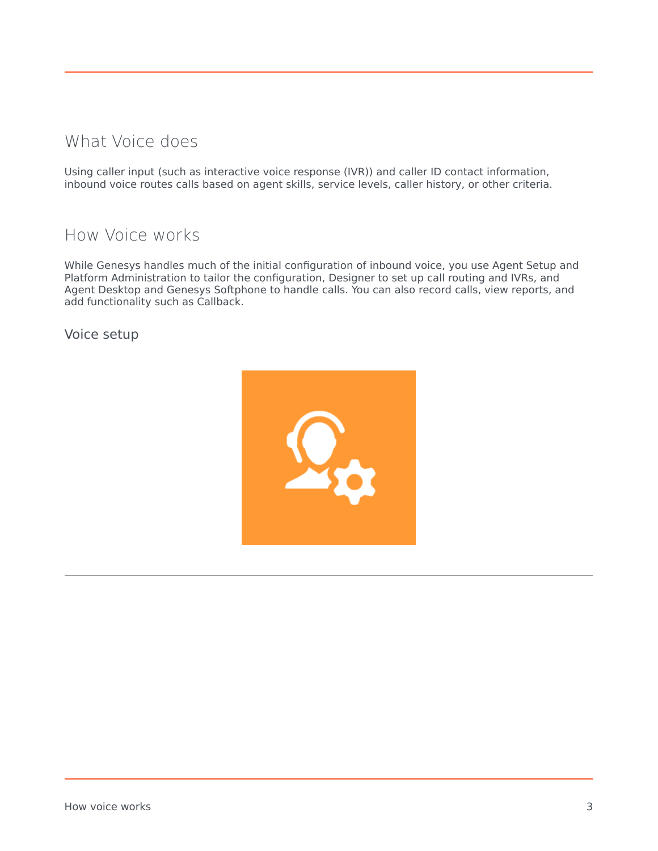#### <span id="page-2-0"></span>What Voice does

Using caller input (such as interactive voice response (IVR)) and caller ID contact information, inbound voice routes calls based on agent skills, service levels, caller history, or other criteria.

#### <span id="page-2-1"></span>How Voice works

While Genesys handles much of the initial configuration of inbound voice, you use Agent Setup and Platform Administration to tailor the configuration, Designer to set up call routing and IVRs, and Agent Desktop and Genesys Softphone to handle calls. You can also record calls, view reports, and add functionality such as Callback.

<span id="page-2-2"></span>Voice setup

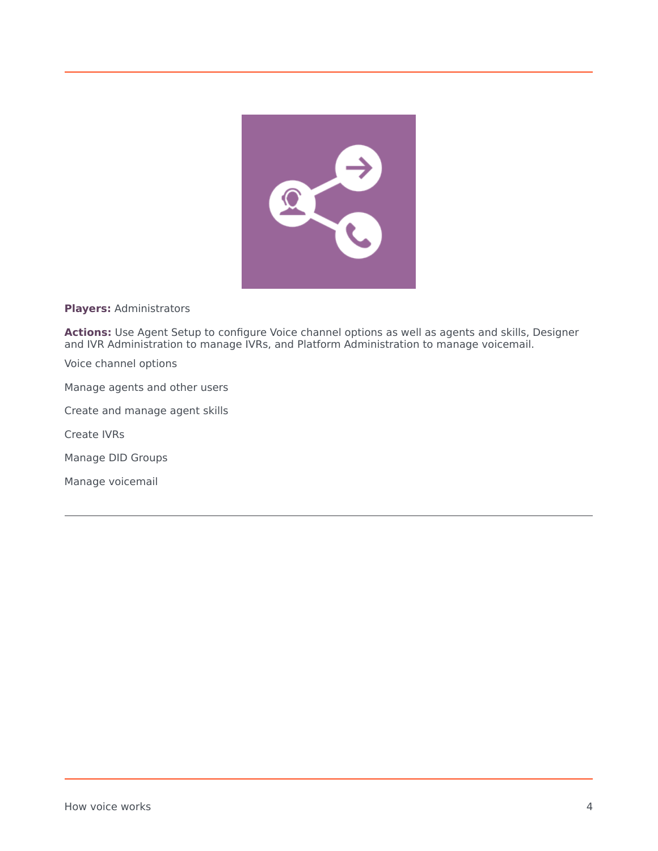

#### **Players:** Administrators

**Actions:** Use Agent Setup to configure Voice channel options as well as agents and skills, Designer and IVR Administration to manage IVRs, and Platform Administration to manage voicemail.

Voice channel options

Manage agents and other users

Create and manage agent skills

Create IVRs

Manage DID Groups

Manage voicemail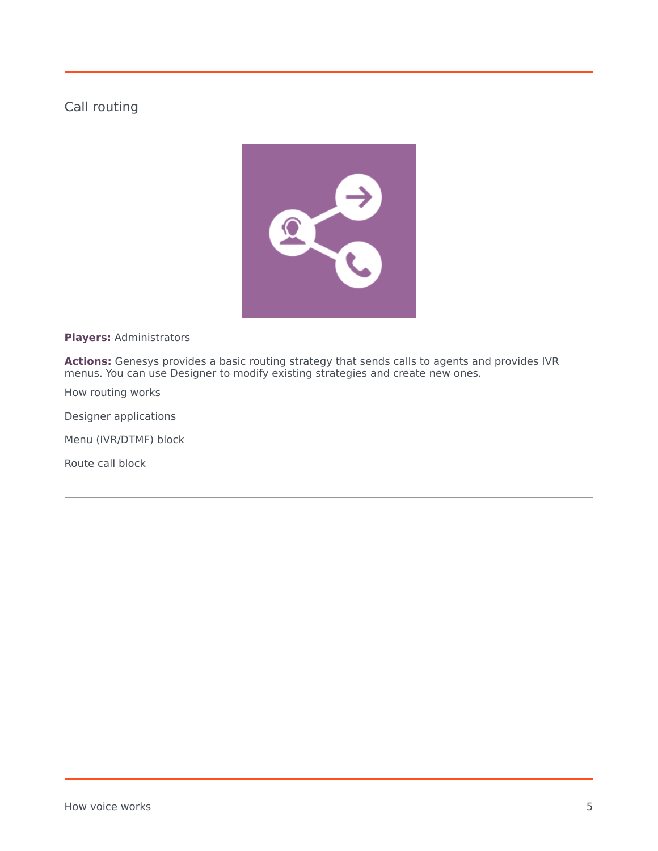#### <span id="page-4-0"></span>Call routing



**Players:** Administrators

**Actions:** Genesys provides a basic routing strategy that sends calls to agents and provides IVR menus. You can use Designer to modify existing strategies and create new ones.

How routing works

Designer applications

Menu (IVR/DTMF) block

Route call block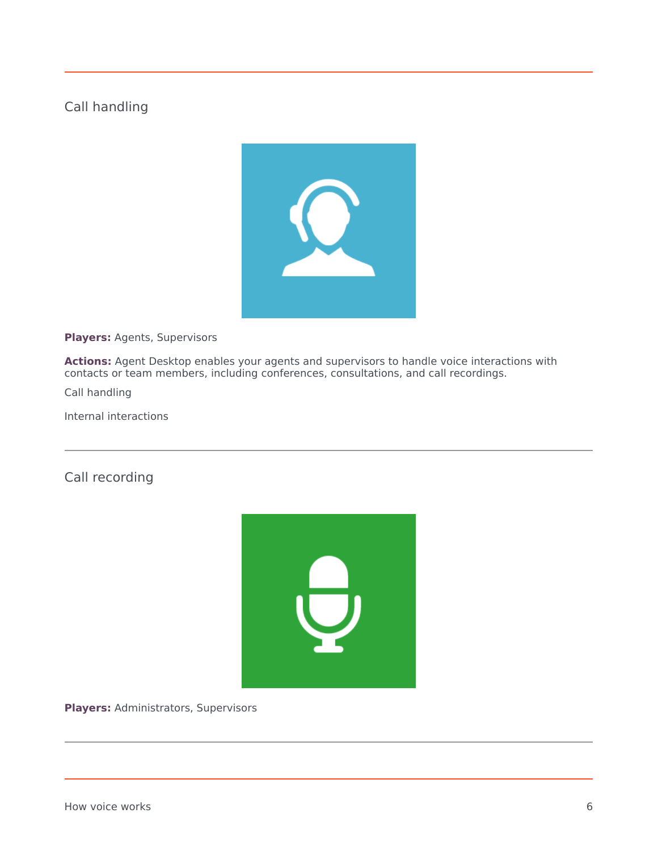#### <span id="page-5-0"></span>Call handling



**Players:** Agents, Supervisors

**Actions:** Agent Desktop enables your agents and supervisors to handle voice interactions with contacts or team members, including conferences, consultations, and call recordings.

Call handling

Internal interactions

<span id="page-5-1"></span>Call recording



**Players:** Administrators, Supervisors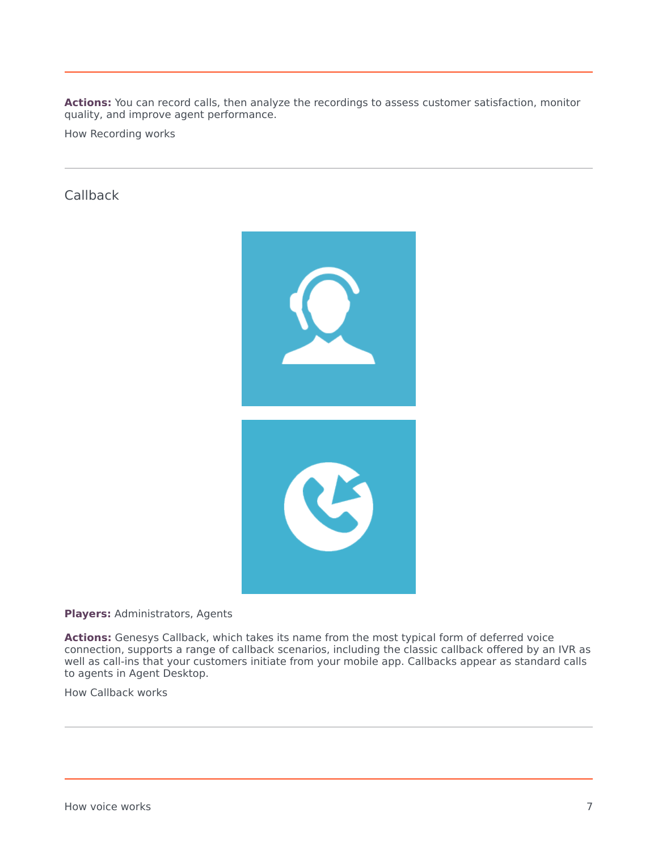**Actions:** You can record calls, then analyze the recordings to assess customer satisfaction, monitor quality, and improve agent performance.

How Recording works

<span id="page-6-0"></span>**Callback** 



**Players:** Administrators, Agents

**Actions:** Genesys Callback, which takes its name from the most typical form of deferred voice connection, supports a range of callback scenarios, including the classic callback offered by an IVR as well as call-ins that your customers initiate from your mobile app. Callbacks appear as standard calls to agents in Agent Desktop.

How Callback works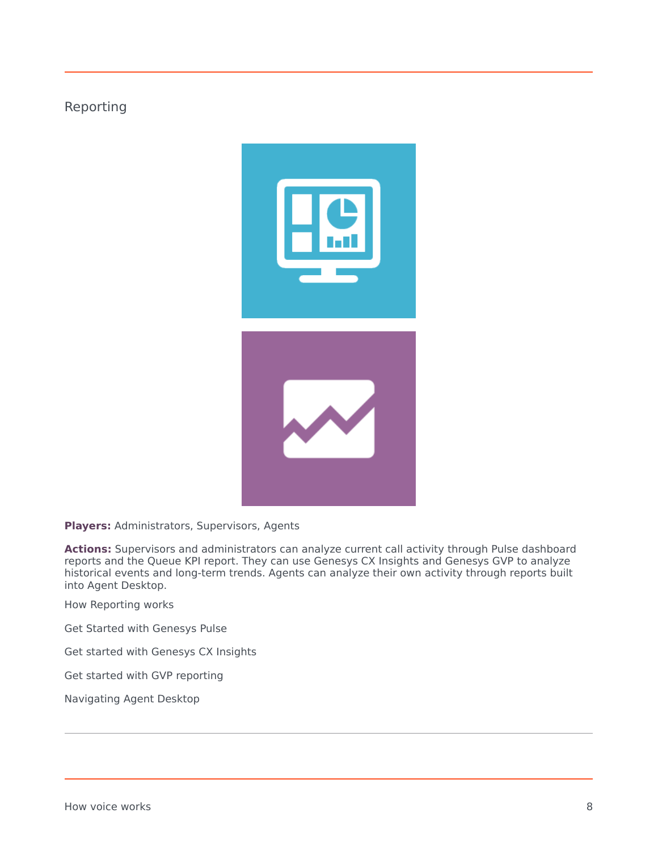#### <span id="page-7-0"></span>Reporting



**Players:** Administrators, Supervisors, Agents

**Actions:** Supervisors and administrators can analyze current call activity through Pulse dashboard reports and the Queue KPI report. They can use Genesys CX Insights and Genesys GVP to analyze historical events and long-term trends. Agents can analyze their own activity through reports built into Agent Desktop.

How Reporting works

Get Started with Genesys Pulse

Get started with Genesys CX Insights

Get started with GVP reporting

Navigating Agent Desktop